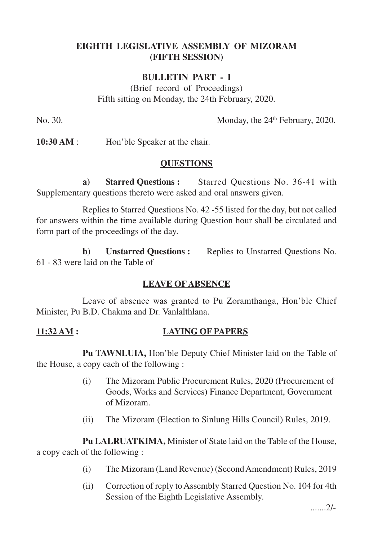# **EIGHTH LEGISLATIVE ASSEMBLY OF MIZORAM (FIFTH SESSION)**

# **BULLETIN PART - I**

(Brief record of Proceedings) Fifth sitting on Monday, the 24th February, 2020.

No. 30. Monday, the 24<sup>th</sup> February, 2020.

**10:30 AM** : Hon'ble Speaker at the chair.

### **QUESTIONS**

**a) Starred Questions :** Starred Questions No. 36-41 with Supplementary questions thereto were asked and oral answers given.

Replies to Starred Questions No. 42 -55 listed for the day, but not called for answers within the time available during Question hour shall be circulated and form part of the proceedings of the day.

**b) Unstarred Questions :** Replies to Unstarred Questions No. 61 - 83 were laid on the Table of

## **LEAVE OF ABSENCE**

Leave of absence was granted to Pu Zoramthanga, Hon'ble Chief Minister, Pu B.D. Chakma and Dr. Vanlalthlana.

## **11:32 AM : LAYING OF PAPERS**

**Pu TAWNLUIA,** Hon'ble Deputy Chief Minister laid on the Table of the House, a copy each of the following :

- (i) The Mizoram Public Procurement Rules, 2020 (Procurement of Goods, Works and Services) Finance Department, Government of Mizoram.
- (ii) The Mizoram (Election to Sinlung Hills Council) Rules, 2019.

**Pu LALRUATKIMA,** Minister of State laid on the Table of the House, a copy each of the following :

- (i) The Mizoram (Land Revenue) (Second Amendment) Rules, 2019
- (ii) Correction of reply to Assembly Starred Question No. 104 for 4th Session of the Eighth Legislative Assembly.

.......2/-